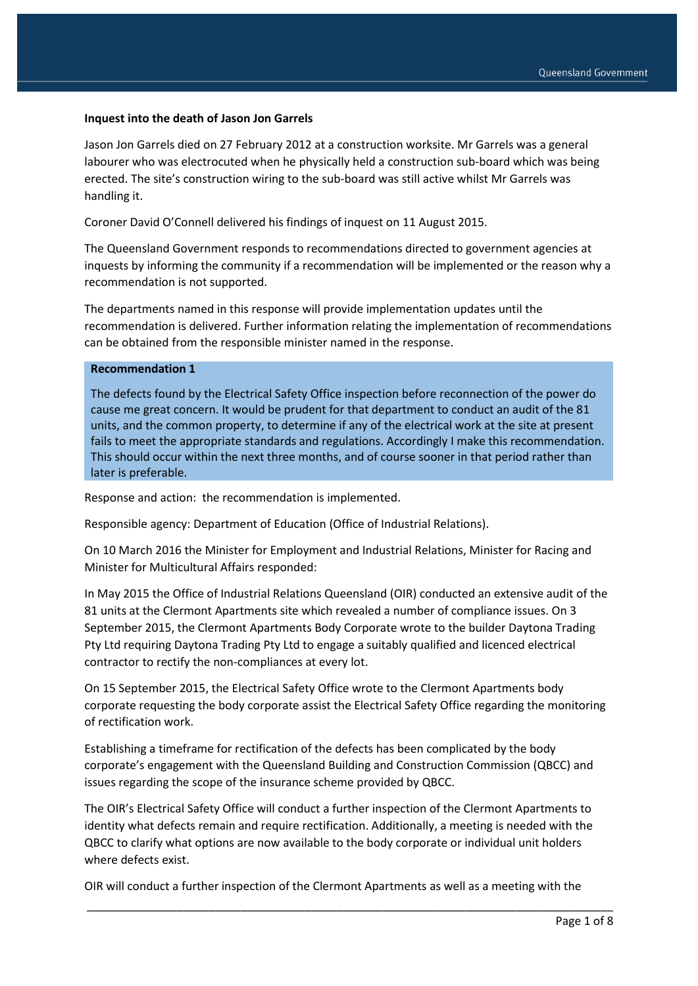### **Inquest into the death of Jason Jon Garrels**

Jason Jon Garrels died on 27 February 2012 at a construction worksite. Mr Garrels was a general labourer who was electrocuted when he physically held a construction sub-board which was being erected. The site's construction wiring to the sub-board was still active whilst Mr Garrels was handling it.

Coroner David O'Connell delivered his findings of inquest on 11 August 2015.

The Queensland Government responds to recommendations directed to government agencies at inquests by informing the community if a recommendation will be implemented or the reason why a recommendation is not supported.

The departments named in this response will provide implementation updates until the recommendation is delivered. Further information relating the implementation of recommendations can be obtained from the responsible minister named in the response.

#### **Recommendation 1**

The defects found by the Electrical Safety Office inspection before reconnection of the power do cause me great concern. It would be prudent for that department to conduct an audit of the 81 units, and the common property, to determine if any of the electrical work at the site at present fails to meet the appropriate standards and regulations. Accordingly I make this recommendation. This should occur within the next three months, and of course sooner in that period rather than later is preferable.

Response and action: the recommendation is implemented.

Responsible agency: Department of Education (Office of Industrial Relations).

On 10 March 2016 the Minister for Employment and Industrial Relations, Minister for Racing and Minister for Multicultural Affairs responded:

In May 2015 the Office of Industrial Relations Queensland (OIR) conducted an extensive audit of the 81 units at the Clermont Apartments site which revealed a number of compliance issues. On 3 September 2015, the Clermont Apartments Body Corporate wrote to the builder Daytona Trading Pty Ltd requiring Daytona Trading Pty Ltd to engage a suitably qualified and licenced electrical contractor to rectify the non-compliances at every lot.

On 15 September 2015, the Electrical Safety Office wrote to the Clermont Apartments body corporate requesting the body corporate assist the Electrical Safety Office regarding the monitoring of rectification work.

Establishing a timeframe for rectification of the defects has been complicated by the body corporate's engagement with the Queensland Building and Construction Commission (QBCC) and issues regarding the scope of the insurance scheme provided by QBCC.

The OIR's Electrical Safety Office will conduct a further inspection of the Clermont Apartments to identity what defects remain and require rectification. Additionally, a meeting is needed with the QBCC to clarify what options are now available to the body corporate or individual unit holders where defects exist.

OIR will conduct a further inspection of the Clermont Apartments as well as a meeting with the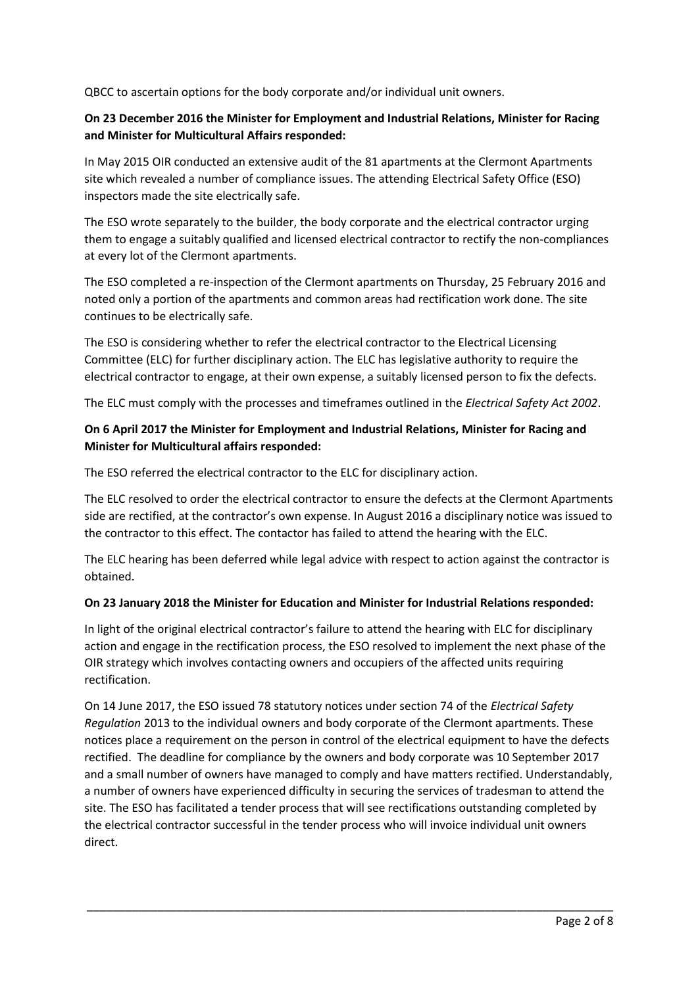QBCC to ascertain options for the body corporate and/or individual unit owners.

## **On 23 December 2016 the Minister for Employment and Industrial Relations, Minister for Racing and Minister for Multicultural Affairs responded:**

In May 2015 OIR conducted an extensive audit of the 81 apartments at the Clermont Apartments site which revealed a number of compliance issues. The attending Electrical Safety Office (ESO) inspectors made the site electrically safe.

The ESO wrote separately to the builder, the body corporate and the electrical contractor urging them to engage a suitably qualified and licensed electrical contractor to rectify the non-compliances at every lot of the Clermont apartments.

The ESO completed a re-inspection of the Clermont apartments on Thursday, 25 February 2016 and noted only a portion of the apartments and common areas had rectification work done. The site continues to be electrically safe.

The ESO is considering whether to refer the electrical contractor to the Electrical Licensing Committee (ELC) for further disciplinary action. The ELC has legislative authority to require the electrical contractor to engage, at their own expense, a suitably licensed person to fix the defects.

The ELC must comply with the processes and timeframes outlined in the *Electrical Safety Act 2002*.

## **On 6 April 2017 the Minister for Employment and Industrial Relations, Minister for Racing and Minister for Multicultural affairs responded:**

The ESO referred the electrical contractor to the ELC for disciplinary action.

The ELC resolved to order the electrical contractor to ensure the defects at the Clermont Apartments side are rectified, at the contractor's own expense. In August 2016 a disciplinary notice was issued to the contractor to this effect. The contactor has failed to attend the hearing with the ELC.

The ELC hearing has been deferred while legal advice with respect to action against the contractor is obtained.

## **On 23 January 2018 the Minister for Education and Minister for Industrial Relations responded:**

In light of the original electrical contractor's failure to attend the hearing with ELC for disciplinary action and engage in the rectification process, the ESO resolved to implement the next phase of the OIR strategy which involves contacting owners and occupiers of the affected units requiring rectification.

On 14 June 2017, the ESO issued 78 statutory notices under section 74 of the *Electrical Safety Regulation* 2013 to the individual owners and body corporate of the Clermont apartments. These notices place a requirement on the person in control of the electrical equipment to have the defects rectified. The deadline for compliance by the owners and body corporate was 10 September 2017 and a small number of owners have managed to comply and have matters rectified. Understandably, a number of owners have experienced difficulty in securing the services of tradesman to attend the site. The ESO has facilitated a tender process that will see rectifications outstanding completed by the electrical contractor successful in the tender process who will invoice individual unit owners direct.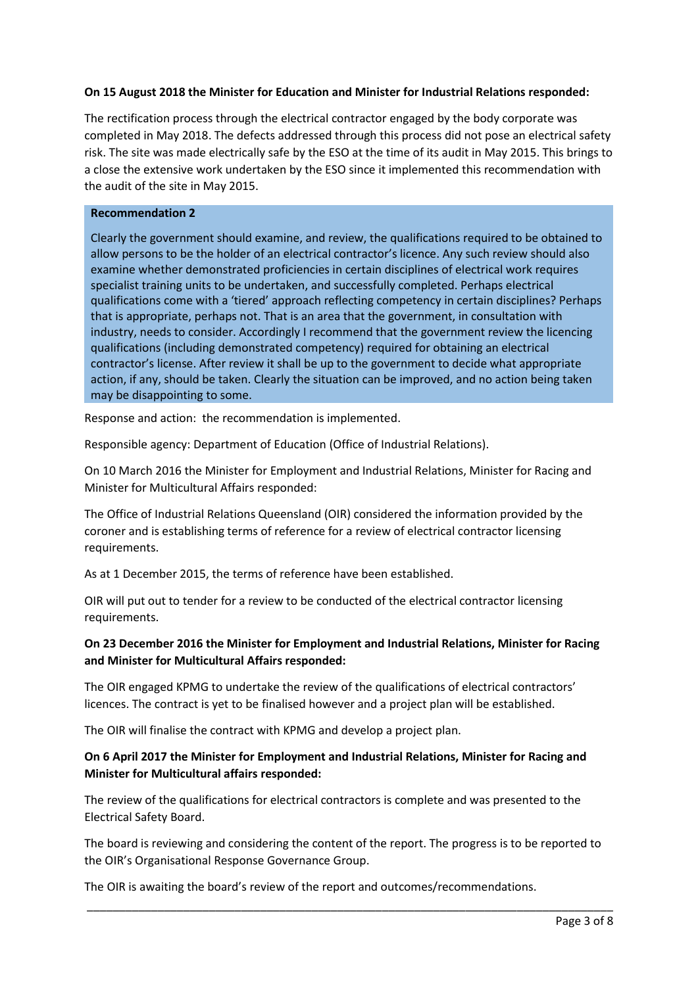## **On 15 August 2018 the Minister for Education and Minister for Industrial Relations responded:**

The rectification process through the electrical contractor engaged by the body corporate was completed in May 2018. The defects addressed through this process did not pose an electrical safety risk. The site was made electrically safe by the ESO at the time of its audit in May 2015. This brings to a close the extensive work undertaken by the ESO since it implemented this recommendation with the audit of the site in May 2015.

### **Recommendation 2**

Clearly the government should examine, and review, the qualifications required to be obtained to allow persons to be the holder of an electrical contractor's licence. Any such review should also examine whether demonstrated proficiencies in certain disciplines of electrical work requires specialist training units to be undertaken, and successfully completed. Perhaps electrical qualifications come with a 'tiered' approach reflecting competency in certain disciplines? Perhaps that is appropriate, perhaps not. That is an area that the government, in consultation with industry, needs to consider. Accordingly I recommend that the government review the licencing qualifications (including demonstrated competency) required for obtaining an electrical contractor's license. After review it shall be up to the government to decide what appropriate action, if any, should be taken. Clearly the situation can be improved, and no action being taken may be disappointing to some.

Response and action: the recommendation is implemented.

Responsible agency: Department of Education (Office of Industrial Relations).

On 10 March 2016 the Minister for Employment and Industrial Relations, Minister for Racing and Minister for Multicultural Affairs responded:

The Office of Industrial Relations Queensland (OIR) considered the information provided by the coroner and is establishing terms of reference for a review of electrical contractor licensing requirements.

As at 1 December 2015, the terms of reference have been established.

OIR will put out to tender for a review to be conducted of the electrical contractor licensing requirements.

## **On 23 December 2016 the Minister for Employment and Industrial Relations, Minister for Racing and Minister for Multicultural Affairs responded:**

The OIR engaged KPMG to undertake the review of the qualifications of electrical contractors' licences. The contract is yet to be finalised however and a project plan will be established.

The OIR will finalise the contract with KPMG and develop a project plan.

# **On 6 April 2017 the Minister for Employment and Industrial Relations, Minister for Racing and Minister for Multicultural affairs responded:**

The review of the qualifications for electrical contractors is complete and was presented to the Electrical Safety Board.

The board is reviewing and considering the content of the report. The progress is to be reported to the OIR's Organisational Response Governance Group.

\_\_\_\_\_\_\_\_\_\_\_\_\_\_\_\_\_\_\_\_\_\_\_\_\_\_\_\_\_\_\_\_\_\_\_\_\_\_\_\_\_\_\_\_\_\_\_\_\_\_\_\_\_\_\_\_\_\_\_\_\_\_\_\_\_\_\_\_\_\_\_\_\_\_\_\_\_\_\_\_\_\_

The OIR is awaiting the board's review of the report and outcomes/recommendations.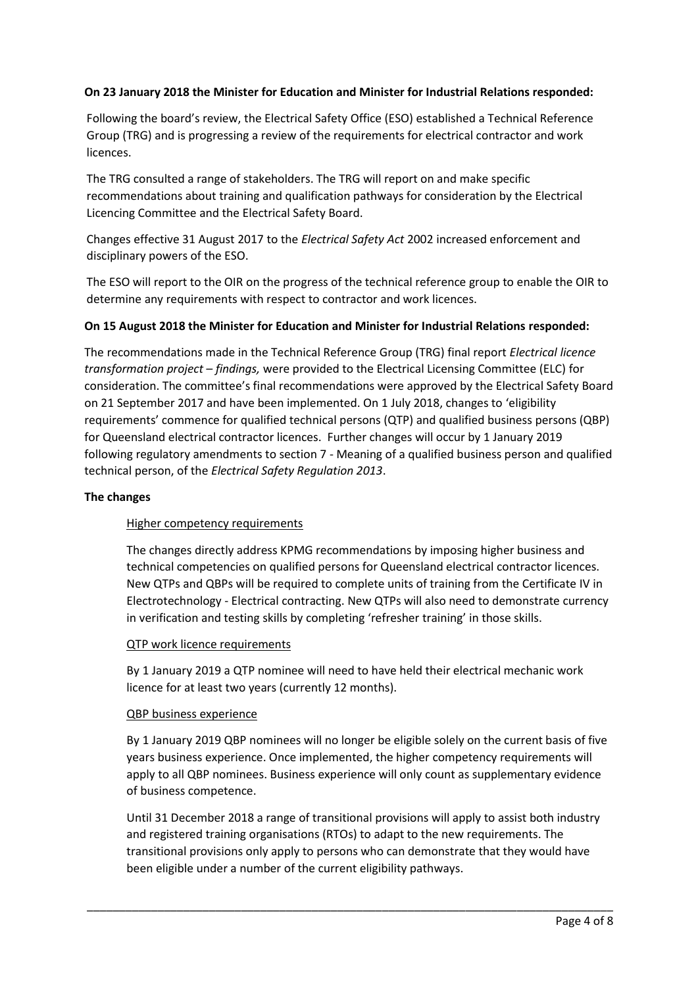## **On 23 January 2018 the Minister for Education and Minister for Industrial Relations responded:**

Following the board's review, the Electrical Safety Office (ESO) established a Technical Reference Group (TRG) and is progressing a review of the requirements for electrical contractor and work licences.

The TRG consulted a range of stakeholders. The TRG will report on and make specific recommendations about training and qualification pathways for consideration by the Electrical Licencing Committee and the Electrical Safety Board.

Changes effective 31 August 2017 to the *Electrical Safety Act* 2002 increased enforcement and disciplinary powers of the ESO.

The ESO will report to the OIR on the progress of the technical reference group to enable the OIR to determine any requirements with respect to contractor and work licences.

### **On 15 August 2018 the Minister for Education and Minister for Industrial Relations responded:**

The recommendations made in the Technical Reference Group (TRG) final report *Electrical licence transformation project – findings,* were provided to the Electrical Licensing Committee (ELC) for consideration. The committee's final recommendations were approved by the Electrical Safety Board on 21 September 2017 and have been implemented. On 1 July 2018, changes to 'eligibility requirements' commence for qualified technical persons (QTP) and qualified business persons (QBP) for Queensland electrical contractor licences. Further changes will occur by 1 January 2019 following regulatory amendments to section 7 - Meaning of a qualified business person and qualified technical person, of the *Electrical Safety Regulation 2013*.

### **The changes**

### Higher competency requirements

The changes directly address KPMG recommendations by imposing higher business and technical competencies on qualified persons for Queensland electrical contractor licences. New QTPs and QBPs will be required to complete units of training from the Certificate IV in Electrotechnology - Electrical contracting. New QTPs will also need to demonstrate currency in verification and testing skills by completing 'refresher training' in those skills.

### QTP work licence requirements

By 1 January 2019 a QTP nominee will need to have held their electrical mechanic work licence for at least two years (currently 12 months).

#### QBP business experience

By 1 January 2019 QBP nominees will no longer be eligible solely on the current basis of five years business experience. Once implemented, the higher competency requirements will apply to all QBP nominees. Business experience will only count as supplementary evidence of business competence.

Until 31 December 2018 a range of transitional provisions will apply to assist both industry and registered training organisations (RTOs) to adapt to the new requirements. The transitional provisions only apply to persons who can demonstrate that they would have been eligible under a number of the current eligibility pathways.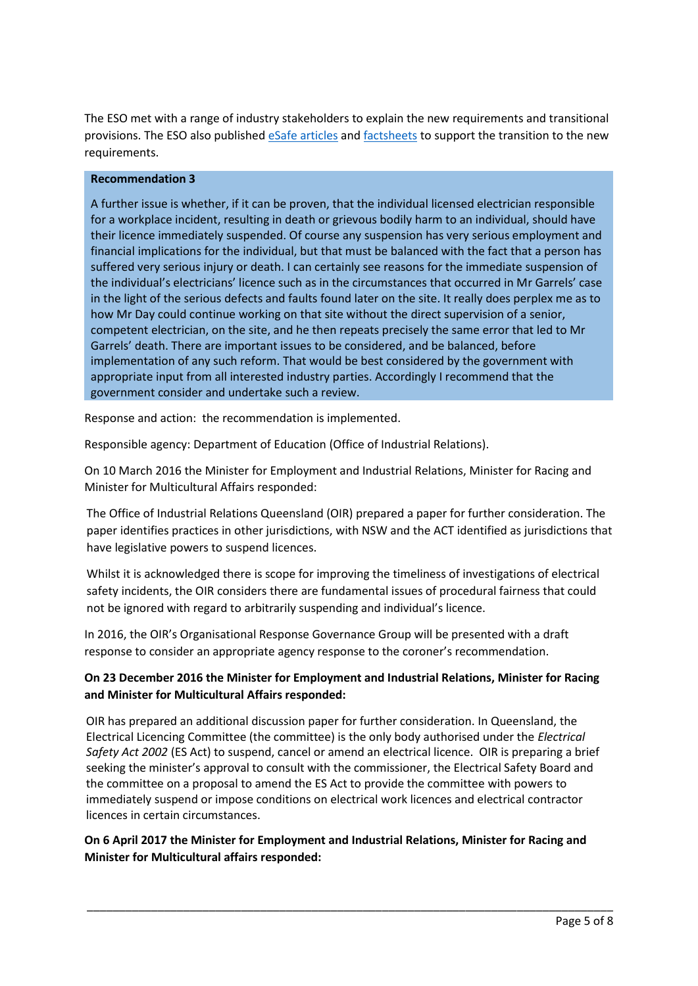The ESO met with a range of industry stakeholders to explain the new requirements and transitional provisions. The ESO also published [eSafe articles](https://www.worksafe.qld.gov.au/forms-and-resources/newsletter/esafe-newsletters/esafe-editions/esafe-electrical/2018-bulletins/new-eligibility-requirements-for-electrical-contractor-licences) and [factsheets](https://www.worksafe.qld.gov.au/__data/assets/pdf_file/0010/158680/eligibility-requirements-factsheet.pdf) to support the transition to the new requirements.

### **Recommendation 3**

A further issue is whether, if it can be proven, that the individual licensed electrician responsible for a workplace incident, resulting in death or grievous bodily harm to an individual, should have their licence immediately suspended. Of course any suspension has very serious employment and financial implications for the individual, but that must be balanced with the fact that a person has suffered very serious injury or death. I can certainly see reasons for the immediate suspension of the individual's electricians' licence such as in the circumstances that occurred in Mr Garrels' case in the light of the serious defects and faults found later on the site. It really does perplex me as to how Mr Day could continue working on that site without the direct supervision of a senior, competent electrician, on the site, and he then repeats precisely the same error that led to Mr Garrels' death. There are important issues to be considered, and be balanced, before implementation of any such reform. That would be best considered by the government with appropriate input from all interested industry parties. Accordingly I recommend that the government consider and undertake such a review.

Response and action: the recommendation is implemented.

Responsible agency: Department of Education (Office of Industrial Relations).

On 10 March 2016 the Minister for Employment and Industrial Relations, Minister for Racing and Minister for Multicultural Affairs responded:

The Office of Industrial Relations Queensland (OIR) prepared a paper for further consideration. The paper identifies practices in other jurisdictions, with NSW and the ACT identified as jurisdictions that have legislative powers to suspend licences.

Whilst it is acknowledged there is scope for improving the timeliness of investigations of electrical safety incidents, the OIR considers there are fundamental issues of procedural fairness that could not be ignored with regard to arbitrarily suspending and individual's licence.

In 2016, the OIR's Organisational Response Governance Group will be presented with a draft response to consider an appropriate agency response to the coroner's recommendation.

# **On 23 December 2016 the Minister for Employment and Industrial Relations, Minister for Racing and Minister for Multicultural Affairs responded:**

OIR has prepared an additional discussion paper for further consideration. In Queensland, the Electrical Licencing Committee (the committee) is the only body authorised under the *Electrical Safety Act 2002* (ES Act) to suspend, cancel or amend an electrical licence. OIR is preparing a brief seeking the minister's approval to consult with the commissioner, the Electrical Safety Board and the committee on a proposal to amend the ES Act to provide the committee with powers to immediately suspend or impose conditions on electrical work licences and electrical contractor licences in certain circumstances.

## **On 6 April 2017 the Minister for Employment and Industrial Relations, Minister for Racing and Minister for Multicultural affairs responded:**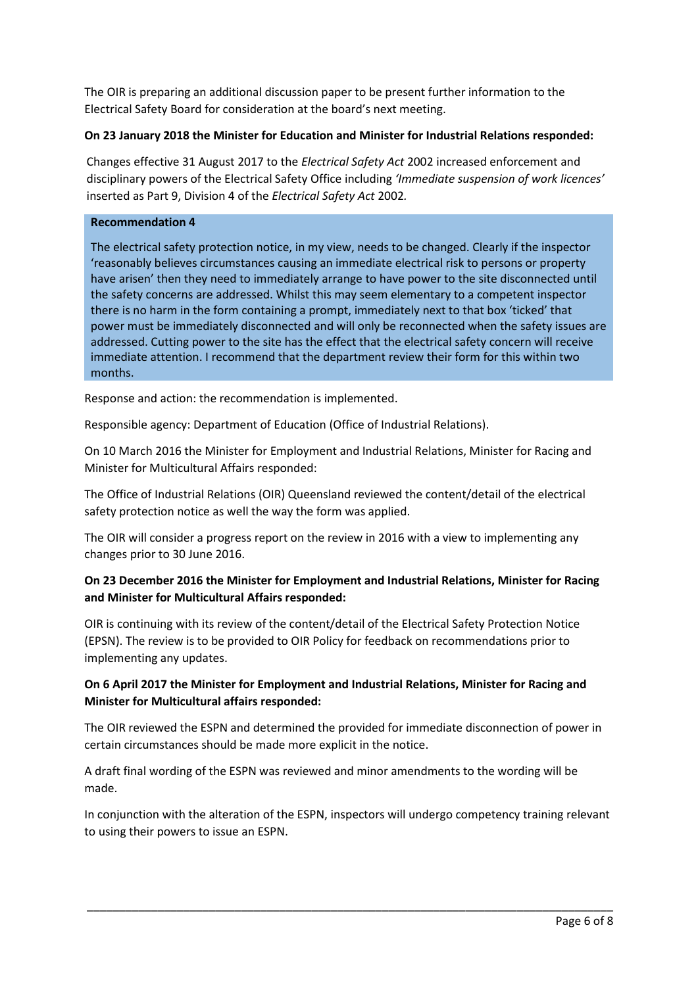The OIR is preparing an additional discussion paper to be present further information to the Electrical Safety Board for consideration at the board's next meeting.

## **On 23 January 2018 the Minister for Education and Minister for Industrial Relations responded:**

Changes effective 31 August 2017 to the *Electrical Safety Act* 2002 increased enforcement and disciplinary powers of the Electrical Safety Office including *'Immediate suspension of work licences'* inserted as Part 9, Division 4 of the *Electrical Safety Act* 2002*.* 

### **Recommendation 4**

The electrical safety protection notice, in my view, needs to be changed. Clearly if the inspector 'reasonably believes circumstances causing an immediate electrical risk to persons or property have arisen' then they need to immediately arrange to have power to the site disconnected until the safety concerns are addressed. Whilst this may seem elementary to a competent inspector there is no harm in the form containing a prompt, immediately next to that box 'ticked' that power must be immediately disconnected and will only be reconnected when the safety issues are addressed. Cutting power to the site has the effect that the electrical safety concern will receive immediate attention. I recommend that the department review their form for this within two months.

Response and action: the recommendation is implemented.

Responsible agency: Department of Education (Office of Industrial Relations).

On 10 March 2016 the Minister for Employment and Industrial Relations, Minister for Racing and Minister for Multicultural Affairs responded:

The Office of Industrial Relations (OIR) Queensland reviewed the content/detail of the electrical safety protection notice as well the way the form was applied.

The OIR will consider a progress report on the review in 2016 with a view to implementing any changes prior to 30 June 2016.

## **On 23 December 2016 the Minister for Employment and Industrial Relations, Minister for Racing and Minister for Multicultural Affairs responded:**

OIR is continuing with its review of the content/detail of the Electrical Safety Protection Notice (EPSN). The review is to be provided to OIR Policy for feedback on recommendations prior to implementing any updates.

## **On 6 April 2017 the Minister for Employment and Industrial Relations, Minister for Racing and Minister for Multicultural affairs responded:**

The OIR reviewed the ESPN and determined the provided for immediate disconnection of power in certain circumstances should be made more explicit in the notice.

A draft final wording of the ESPN was reviewed and minor amendments to the wording will be made.

In conjunction with the alteration of the ESPN, inspectors will undergo competency training relevant to using their powers to issue an ESPN.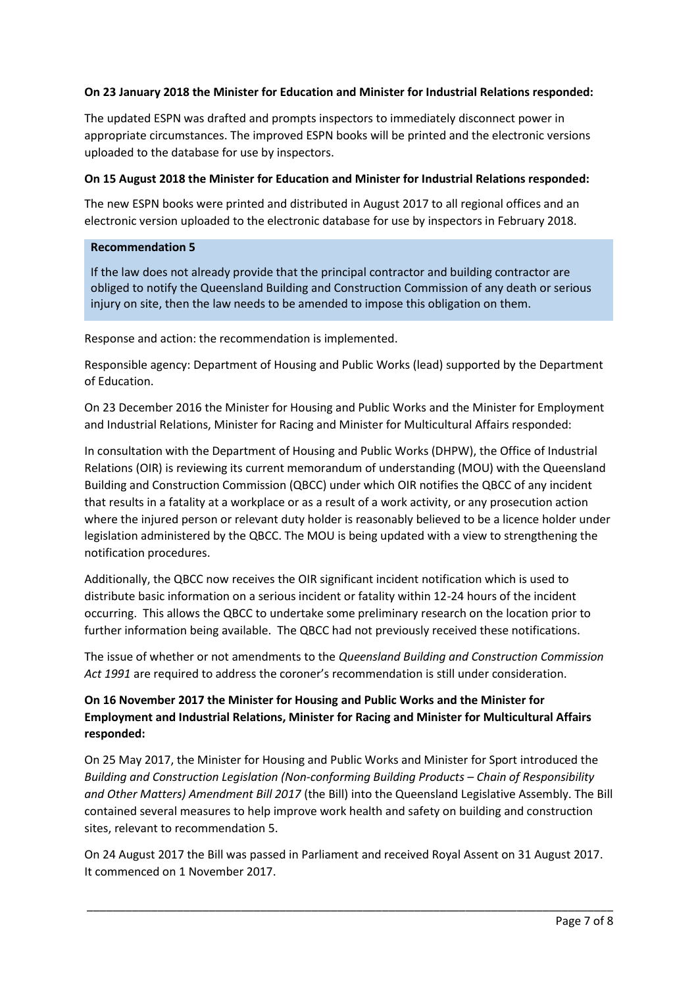## **On 23 January 2018 the Minister for Education and Minister for Industrial Relations responded:**

The updated ESPN was drafted and prompts inspectors to immediately disconnect power in appropriate circumstances. The improved ESPN books will be printed and the electronic versions uploaded to the database for use by inspectors.

### **On 15 August 2018 the Minister for Education and Minister for Industrial Relations responded:**

The new ESPN books were printed and distributed in August 2017 to all regional offices and an electronic version uploaded to the electronic database for use by inspectors in February 2018.

### **Recommendation 5**

If the law does not already provide that the principal contractor and building contractor are obliged to notify the Queensland Building and Construction Commission of any death or serious injury on site, then the law needs to be amended to impose this obligation on them.

Response and action: the recommendation is implemented.

Responsible agency: Department of Housing and Public Works (lead) supported by the Department of Education.

On 23 December 2016 the Minister for Housing and Public Works and the Minister for Employment and Industrial Relations, Minister for Racing and Minister for Multicultural Affairs responded:

In consultation with the Department of Housing and Public Works (DHPW), the Office of Industrial Relations (OIR) is reviewing its current memorandum of understanding (MOU) with the Queensland Building and Construction Commission (QBCC) under which OIR notifies the QBCC of any incident that results in a fatality at a workplace or as a result of a work activity, or any prosecution action where the injured person or relevant duty holder is reasonably believed to be a licence holder under legislation administered by the QBCC. The MOU is being updated with a view to strengthening the notification procedures.

Additionally, the QBCC now receives the OIR significant incident notification which is used to distribute basic information on a serious incident or fatality within 12-24 hours of the incident occurring. This allows the QBCC to undertake some preliminary research on the location prior to further information being available. The QBCC had not previously received these notifications.

The issue of whether or not amendments to the *Queensland Building and Construction Commission Act 1991* are required to address the coroner's recommendation is still under consideration.

# **On 16 November 2017 the Minister for Housing and Public Works and the Minister for Employment and Industrial Relations, Minister for Racing and Minister for Multicultural Affairs responded:**

On 25 May 2017, the Minister for Housing and Public Works and Minister for Sport introduced the *Building and Construction Legislation (Non-conforming Building Products – Chain of Responsibility and Other Matters) Amendment Bill 2017* (the Bill) into the Queensland Legislative Assembly. The Bill contained several measures to help improve work health and safety on building and construction sites, relevant to recommendation 5.

On 24 August 2017 the Bill was passed in Parliament and received Royal Assent on 31 August 2017. It commenced on 1 November 2017.